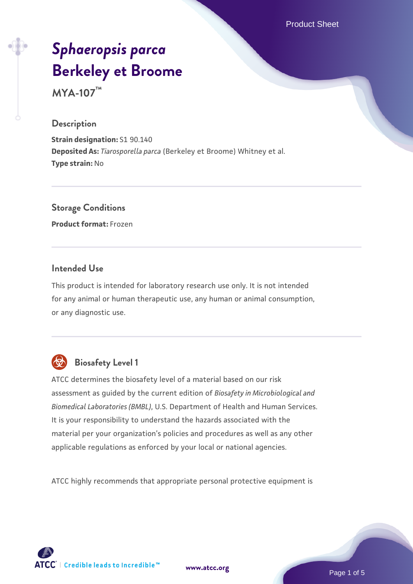Product Sheet

# *[Sphaeropsis parca](https://www.atcc.org/products/mya-107)* **[Berkeley et Broome](https://www.atcc.org/products/mya-107)**

**MYA-107™**

#### **Description**

**Strain designation:** S1 90.140 **Deposited As:** *Tiarosporella parca* (Berkeley et Broome) Whitney et al. **Type strain:** No

### **Storage Conditions**

**Product format:** Frozen

#### **Intended Use**

This product is intended for laboratory research use only. It is not intended for any animal or human therapeutic use, any human or animal consumption, or any diagnostic use.



## **Biosafety Level 1**

ATCC determines the biosafety level of a material based on our risk assessment as guided by the current edition of *Biosafety in Microbiological and Biomedical Laboratories (BMBL)*, U.S. Department of Health and Human Services. It is your responsibility to understand the hazards associated with the material per your organization's policies and procedures as well as any other applicable regulations as enforced by your local or national agencies.

ATCC highly recommends that appropriate personal protective equipment is

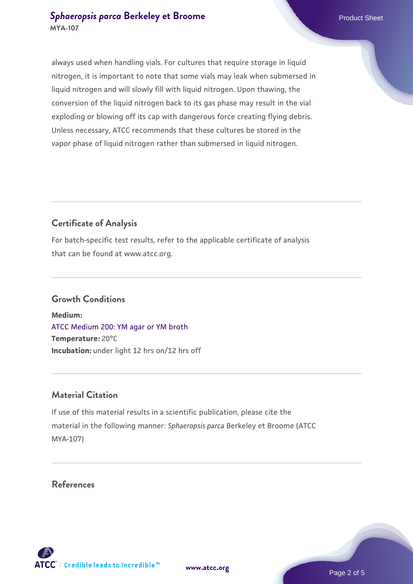#### **[Sphaeropsis parca](https://www.atcc.org/products/mya-107) [Berkeley et Broome](https://www.atcc.org/products/mya-107)** Product Sheet **MYA-107**

always used when handling vials. For cultures that require storage in liquid nitrogen, it is important to note that some vials may leak when submersed in liquid nitrogen and will slowly fill with liquid nitrogen. Upon thawing, the conversion of the liquid nitrogen back to its gas phase may result in the vial exploding or blowing off its cap with dangerous force creating flying debris. Unless necessary, ATCC recommends that these cultures be stored in the vapor phase of liquid nitrogen rather than submersed in liquid nitrogen.

#### **Certificate of Analysis**

For batch-specific test results, refer to the applicable certificate of analysis that can be found at www.atcc.org.

#### **Growth Conditions**

**Medium:**  [ATCC Medium 200: YM agar or YM broth](https://www.atcc.org/-/media/product-assets/documents/microbial-media-formulations/2/0/0/atcc-medium-200.pdf?rev=ac40fd74dc13433a809367b0b9da30fc) **Temperature:** 20°C **Incubation:** under light 12 hrs on/12 hrs off

#### **Material Citation**

If use of this material results in a scientific publication, please cite the material in the following manner: *Sphaeropsis parca* Berkeley et Broome (ATCC MYA-107)

#### **References**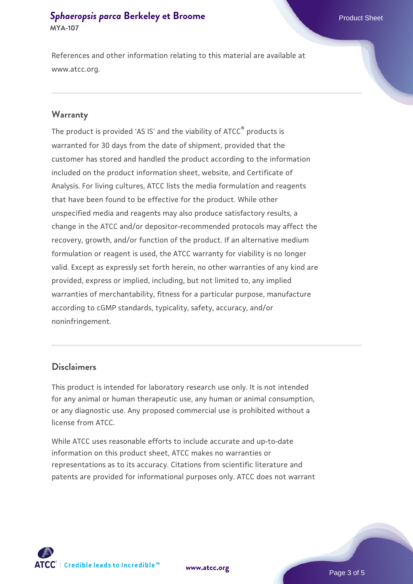#### **[Sphaeropsis parca](https://www.atcc.org/products/mya-107) [Berkeley et Broome](https://www.atcc.org/products/mya-107)** Product Sheet **MYA-107**

References and other information relating to this material are available at www.atcc.org.

#### **Warranty**

The product is provided 'AS IS' and the viability of ATCC® products is warranted for 30 days from the date of shipment, provided that the customer has stored and handled the product according to the information included on the product information sheet, website, and Certificate of Analysis. For living cultures, ATCC lists the media formulation and reagents that have been found to be effective for the product. While other unspecified media and reagents may also produce satisfactory results, a change in the ATCC and/or depositor-recommended protocols may affect the recovery, growth, and/or function of the product. If an alternative medium formulation or reagent is used, the ATCC warranty for viability is no longer valid. Except as expressly set forth herein, no other warranties of any kind are provided, express or implied, including, but not limited to, any implied warranties of merchantability, fitness for a particular purpose, manufacture according to cGMP standards, typicality, safety, accuracy, and/or noninfringement.

#### **Disclaimers**

This product is intended for laboratory research use only. It is not intended for any animal or human therapeutic use, any human or animal consumption, or any diagnostic use. Any proposed commercial use is prohibited without a license from ATCC.

While ATCC uses reasonable efforts to include accurate and up-to-date information on this product sheet, ATCC makes no warranties or representations as to its accuracy. Citations from scientific literature and patents are provided for informational purposes only. ATCC does not warrant

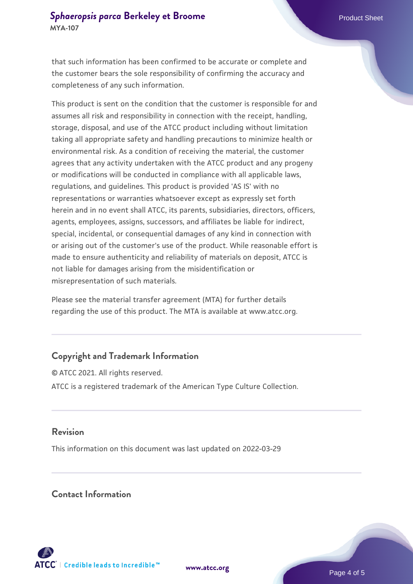that such information has been confirmed to be accurate or complete and the customer bears the sole responsibility of confirming the accuracy and completeness of any such information.

This product is sent on the condition that the customer is responsible for and assumes all risk and responsibility in connection with the receipt, handling, storage, disposal, and use of the ATCC product including without limitation taking all appropriate safety and handling precautions to minimize health or environmental risk. As a condition of receiving the material, the customer agrees that any activity undertaken with the ATCC product and any progeny or modifications will be conducted in compliance with all applicable laws, regulations, and guidelines. This product is provided 'AS IS' with no representations or warranties whatsoever except as expressly set forth herein and in no event shall ATCC, its parents, subsidiaries, directors, officers, agents, employees, assigns, successors, and affiliates be liable for indirect, special, incidental, or consequential damages of any kind in connection with or arising out of the customer's use of the product. While reasonable effort is made to ensure authenticity and reliability of materials on deposit, ATCC is not liable for damages arising from the misidentification or misrepresentation of such materials.

Please see the material transfer agreement (MTA) for further details regarding the use of this product. The MTA is available at www.atcc.org.

#### **Copyright and Trademark Information**

© ATCC 2021. All rights reserved. ATCC is a registered trademark of the American Type Culture Collection.

#### **Revision**

This information on this document was last updated on 2022-03-29

#### **Contact Information**